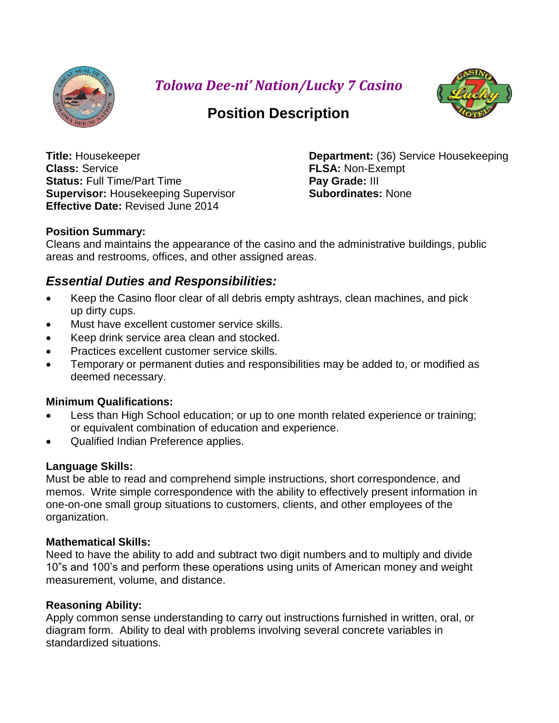

*Tolowa Dee-ni' Nation/Lucky 7 Casino*



# **Position Description**

**Class:** Service **FLSA:** Non-Exempt **Status:** Full Time/Part Time **Pay Grade:** III **Supervisor:** Housekeeping Supervisor **Subordinates:** None **Effective Date:** Revised June 2014

**Title:** Housekeeper **Department:** (36) Service Housekeeping

# **Position Summary:**

Cleans and maintains the appearance of the casino and the administrative buildings, public areas and restrooms, offices, and other assigned areas.

# *Essential Duties and Responsibilities:*

- Keep the Casino floor clear of all debris empty ashtrays, clean machines, and pick up dirty cups.
- Must have excellent customer service skills.
- Keep drink service area clean and stocked.
- Practices excellent customer service skills.
- Temporary or permanent duties and responsibilities may be added to, or modified as deemed necessary.

# **Minimum Qualifications:**

- Less than High School education; or up to one month related experience or training; or equivalent combination of education and experience.
- Qualified Indian Preference applies.

# **Language Skills:**

Must be able to read and comprehend simple instructions, short correspondence, and memos. Write simple correspondence with the ability to effectively present information in one-on-one small group situations to customers, clients, and other employees of the organization.

#### **Mathematical Skills:**

Need to have the ability to add and subtract two digit numbers and to multiply and divide 10"s and 100's and perform these operations using units of American money and weight measurement, volume, and distance.

# **Reasoning Ability:**

Apply common sense understanding to carry out instructions furnished in written, oral, or diagram form. Ability to deal with problems involving several concrete variables in standardized situations.